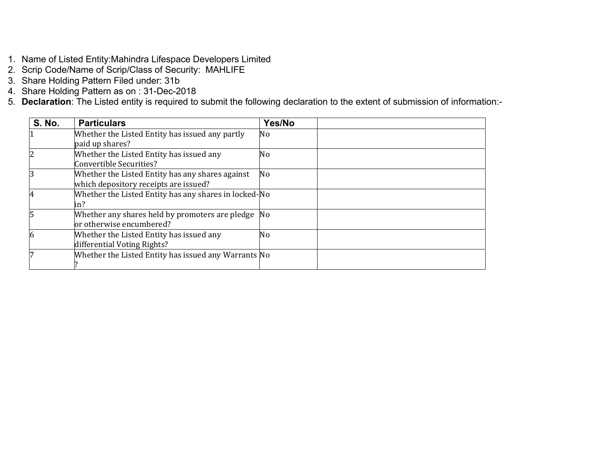- 1. Name of Listed Entity:Mahindra Lifespace Developers Limited
- 2. Scrip Code/Name of Scrip/Class of Security: MAHLIFE
- 3. Share Holding Pattern Filed under: 31b
- 4. Share Holding Pattern as on : 31-Dec-2018
- 5. **Declaration**: The Listed entity is required to submit the following declaration to the extent of submission of information:-

| <b>S. No.</b> | <b>Particulars</b>                                    | Yes/No |
|---------------|-------------------------------------------------------|--------|
|               | Whether the Listed Entity has issued any partly       | No     |
|               | paid up shares?                                       |        |
|               | Whether the Listed Entity has issued any              | No     |
|               | Convertible Securities?                               |        |
|               | Whether the Listed Entity has any shares against      | No     |
|               | which depository receipts are issued?                 |        |
|               | Whether the Listed Entity has any shares in locked-No |        |
|               | in?                                                   |        |
|               | Whether any shares held by promoters are pledge No    |        |
|               | or otherwise encumbered?                              |        |
|               | Whether the Listed Entity has issued any              | No     |
|               | differential Voting Rights?                           |        |
|               | Whether the Listed Entity has issued any Warrants No  |        |
|               |                                                       |        |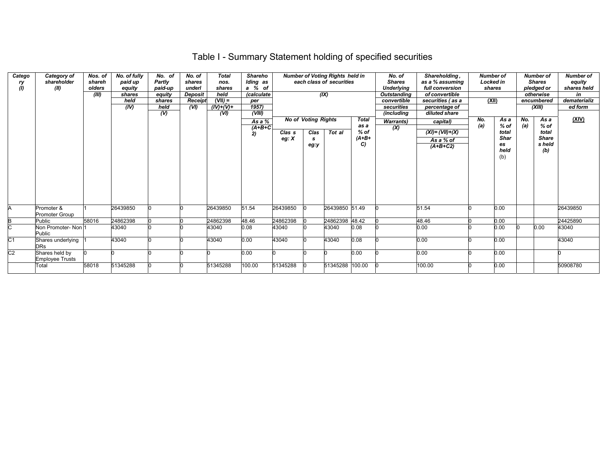# Table I - Summary Statement holding of specified securities

| Catego<br>ry<br>(1) | Category of<br>shareholder<br>(II)       | Nos. of<br>shareh<br>olders<br>(III) | No. of fully<br>paid up<br>equity<br>shares<br>held<br>(IV) | No. of<br><b>Partly</b><br>paid-up<br>equity<br>shares<br>held<br>$\mathcal{U}$ | No. of<br>shares<br>underl<br><b>Deposit</b><br>Receipt<br>(VI) | <b>Total</b><br>nos.<br>shares<br>held<br>$(VII) =$<br>$(IV)+(V)+$<br>(VI) | <b>Shareho</b><br>Iding as<br>a % of<br><i>(calculate</i><br>per<br>1957)<br>(VIII) |                              |                                                  | <b>Number of Voting Rights held in</b><br>each class of securities<br>(X) |                                                | No. of<br><b>Shares</b><br><b>Underlying</b><br>Outstanding<br>convertible<br>securities<br><i>(including</i> | Shareholding,<br>as a % assuming<br>full conversion<br>of convertible<br>securities (as a<br>percentage of<br>diluted share | <b>Number of</b><br>Locked in<br>shares<br>(XII) |                                                             | <b>Number of</b><br><b>Shares</b><br>pledged or<br>otherwise<br>encumbered<br>(XIII) |                                                          | <b>Number of</b><br>equity<br>shares held<br>in<br>dematerializ<br>ed form |
|---------------------|------------------------------------------|--------------------------------------|-------------------------------------------------------------|---------------------------------------------------------------------------------|-----------------------------------------------------------------|----------------------------------------------------------------------------|-------------------------------------------------------------------------------------|------------------------------|--------------------------------------------------|---------------------------------------------------------------------------|------------------------------------------------|---------------------------------------------------------------------------------------------------------------|-----------------------------------------------------------------------------------------------------------------------------|--------------------------------------------------|-------------------------------------------------------------|--------------------------------------------------------------------------------------|----------------------------------------------------------|----------------------------------------------------------------------------|
|                     |                                          |                                      |                                                             |                                                                                 |                                                                 |                                                                            | As a %<br>$(A+B+C)$<br>2)                                                           | Clas <sub>s</sub><br>eg: $X$ | <b>No of Voting Rights</b><br>Clas<br>s.<br>eg:y | Tot al                                                                    | <b>Total</b><br>as a<br>$%$ of<br>$(A+B+$<br>C | <b>Warrants</b> )<br>(X)                                                                                      | capital)<br>$(XI) = (VII)+(X)$<br>As a % of<br>$(A+B+C2)$                                                                   | No.<br>(a)                                       | As a<br>$%$ of<br>total<br><b>Shar</b><br>es<br>held<br>(b) | No.<br>(a)                                                                           | As a<br>$%$ of<br>total<br><b>Share</b><br>s held<br>(b) | <u>(XIV)</u>                                                               |
| A                   | Promoter &<br><b>Promoter Group</b>      |                                      | 26439850                                                    |                                                                                 |                                                                 | 26439850                                                                   | 51.54                                                                               | 26439850                     |                                                  | 26439850 51.49                                                            |                                                |                                                                                                               | 51.54                                                                                                                       |                                                  | 0.00                                                        |                                                                                      |                                                          | 26439850                                                                   |
| В                   | Public                                   | 58016                                | 24862398                                                    |                                                                                 |                                                                 | 24862398                                                                   | 48.46                                                                               | 24862398                     |                                                  | 24862398 48.42                                                            |                                                |                                                                                                               | 48.46                                                                                                                       |                                                  | 0.00                                                        |                                                                                      |                                                          | 24425890                                                                   |
| C                   | Non Promoter- Non 1<br>Public            |                                      | 43040                                                       |                                                                                 |                                                                 | 43040                                                                      | 0.08                                                                                | 43040                        |                                                  | 43040                                                                     | 0.08                                           |                                                                                                               | 0.00                                                                                                                        |                                                  | 0.00                                                        |                                                                                      | 0.00                                                     | 43040                                                                      |
| C1                  | Shares underlying<br><b>DRs</b>          |                                      | 43040                                                       |                                                                                 |                                                                 | 43040                                                                      | 0.00                                                                                | 43040                        |                                                  | 43040                                                                     | 0.08                                           |                                                                                                               | 0.00                                                                                                                        |                                                  | 0.00                                                        |                                                                                      |                                                          | 43040                                                                      |
| C2                  | Shares held by<br><b>Employee Trusts</b> |                                      |                                                             |                                                                                 |                                                                 |                                                                            | 0.00                                                                                |                              |                                                  |                                                                           | 0.00                                           |                                                                                                               | 0.00                                                                                                                        |                                                  | 0.00                                                        |                                                                                      |                                                          |                                                                            |
|                     | Total                                    | 58018                                | 51345288                                                    |                                                                                 |                                                                 | 51345288                                                                   | 100.00                                                                              | 51345288                     |                                                  | 51345288 100.00                                                           |                                                |                                                                                                               | 100.00                                                                                                                      |                                                  | 0.00                                                        |                                                                                      |                                                          | 50908780                                                                   |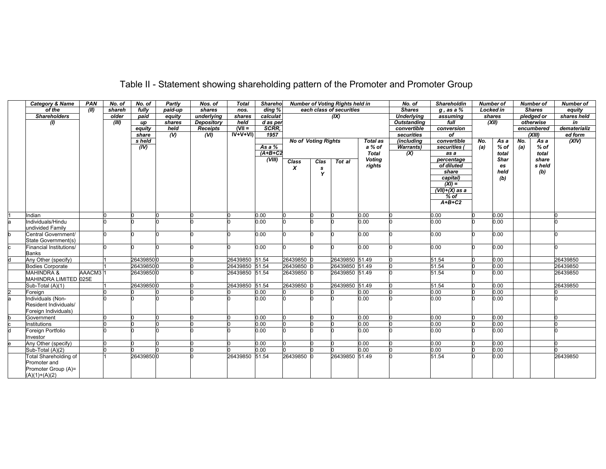| Table II - Statement showing shareholding pattern of the Promoter and Promoter Group |  |
|--------------------------------------------------------------------------------------|--|
|--------------------------------------------------------------------------------------|--|

|    | <b>Category &amp; Name</b> | <b>PAN</b>          | No. of | No. of    | Partly         | Nos. of         | <b>Total</b>   | <b>Shareho</b> |                            |      | <b>Number of Voting Rights held in</b> |                                                       | No. of             | <b>Shareholdin</b>         |       | <b>Number of</b>  |               | <b>Number of</b> | <b>Number of</b> |
|----|----------------------------|---------------------|--------|-----------|----------------|-----------------|----------------|----------------|----------------------------|------|----------------------------------------|-------------------------------------------------------|--------------------|----------------------------|-------|-------------------|---------------|------------------|------------------|
|    | of the                     | (II)                | shareh | fully     | paid-up        | shares          | nos.           | ding %         | each class of securities   |      |                                        | <b>Shares</b>                                         | $q$ , as a $%$     | <b>Locked in</b>           |       |                   | <b>Shares</b> | equity           |                  |
|    | <b>Shareholders</b>        |                     | older  | paid      | equity         | underlying      | shares         | calculat       | (IX)                       |      |                                        | <b>Underlying</b><br>pledged or<br>shares<br>assuming |                    |                            |       |                   | shares held   |                  |                  |
|    | $\omega$                   |                     | (III)  | up        | shares         | Depository      | held           | d as per       |                            |      |                                        |                                                       | <b>Outstanding</b> | full                       | (XII) |                   | otherwise     |                  | in               |
|    |                            |                     |        | equity    | held           | <b>Receipts</b> | $N =$          | SCRR.          |                            |      |                                        |                                                       | convertible        | conversion                 |       |                   | encumbered    |                  | dematerializ     |
|    |                            |                     |        | share     | $\overline{w}$ | (VI)            | $IV+V+VI)$     | 1957           |                            |      |                                        |                                                       | securities         | of                         |       |                   | $\alpha$ iii) |                  | ed form          |
|    |                            |                     |        | s held    |                |                 |                |                | <b>No of Voting Rights</b> |      |                                        | <b>Total as</b>                                       | (including         | convertible                | No.   | As a              | No.           | As a             | (XIV)            |
|    |                            |                     |        | (IV)      |                |                 |                | As a $%$       |                            |      |                                        | a % of                                                | <b>Warrants</b> )  | securities (               | (a)   | % of              | (a)           | $%$ of           |                  |
|    |                            |                     |        |           |                |                 |                | $(A+B+C2$      |                            |      |                                        | <b>Total</b>                                          | (X)                | as a                       |       | total             |               | total            |                  |
|    |                            |                     |        |           |                |                 |                | (VIII)         | <b>Class</b>               | Clas | Tot al                                 | <b>Voting</b>                                         |                    | percentage                 |       | Shar              |               | share            |                  |
|    |                            |                     |        |           |                |                 |                |                | $\boldsymbol{x}$           | s    |                                        | rights                                                |                    | of diluted                 |       | es                |               | s held           |                  |
|    |                            |                     |        |           |                |                 |                |                |                            | Y    |                                        |                                                       |                    | share                      |       | held              |               | (b)              |                  |
|    |                            |                     |        |           |                |                 |                |                |                            |      |                                        |                                                       |                    | capital)<br>$(XI) =$       |       | (b)               |               |                  |                  |
|    |                            |                     |        |           |                |                 |                |                |                            |      |                                        |                                                       |                    |                            |       |                   |               |                  |                  |
|    |                            |                     |        |           |                |                 |                |                |                            |      |                                        |                                                       |                    | $(VII)+(X)$ as a<br>$%$ of |       |                   |               |                  |                  |
|    |                            |                     |        |           |                |                 |                |                |                            |      |                                        |                                                       |                    | $A+B+C2$                   |       |                   |               |                  |                  |
|    |                            |                     |        |           |                |                 |                |                |                            |      |                                        |                                                       |                    |                            |       |                   |               |                  |                  |
|    | Indian                     |                     |        |           |                |                 |                | 0.00           |                            |      |                                        | 0.00                                                  |                    | 0.00                       |       | 0.00              |               |                  |                  |
|    | Individuals/Hindu          |                     |        |           |                |                 |                | 0.00           |                            |      |                                        | 0.00                                                  |                    | 0.00                       |       | 0.00              |               |                  |                  |
|    | undivided Family           |                     |        |           |                |                 |                |                |                            |      |                                        |                                                       |                    |                            |       |                   |               |                  |                  |
|    | Central Government/        |                     |        |           |                |                 |                | 0.00           |                            |      |                                        | 0.00                                                  |                    | 0.00                       |       | 0.00              |               |                  |                  |
|    | State Government(s)        |                     |        |           |                |                 |                |                |                            |      |                                        |                                                       |                    |                            |       |                   |               |                  |                  |
|    | Financial Institutions/    |                     |        |           |                |                 |                | 0.00           |                            |      |                                        | 0.00                                                  |                    | 0.00                       |       | 0.00              |               |                  |                  |
|    | <b>Banks</b>               |                     |        |           |                |                 |                |                |                            |      |                                        |                                                       |                    |                            |       |                   |               |                  |                  |
|    | Any Other (specify)        |                     |        | 264398500 |                |                 | 26439850 51.54 |                | 26439850 C                 |      | 26439850 51.49                         |                                                       |                    | 51.54                      |       | 0.00              |               |                  | 26439850         |
|    | <b>Bodies Corporate</b>    |                     |        | 264398500 |                |                 | 26439850 51.54 |                | 26439850 0                 |      | 26439850 51.49                         |                                                       |                    | 51.54                      |       | $\overline{0.00}$ |               |                  | 26439850         |
|    | <b>MAHINDRA &amp;</b>      | AAACM3 <sup>1</sup> |        | 264398500 |                |                 | 26439850 51.54 |                | 26439850 0                 |      | 26439850 51.49                         |                                                       |                    | 51.54                      |       | 0.00              |               |                  | 26439850         |
|    | MAHINDRA LIMITED 025E      |                     |        |           |                |                 |                |                |                            |      |                                        |                                                       |                    |                            |       |                   |               |                  |                  |
|    | Sub-Total (A)(1)           |                     |        | 264398500 |                |                 | 26439850 51.54 |                | 26439850 C                 |      | 26439850 51.49                         |                                                       |                    | 51.54                      |       | 0.00              |               |                  | 26439850         |
|    | Foreign                    |                     |        |           |                |                 |                | 0.00           |                            |      |                                        | 0.00                                                  |                    | 0.00                       |       | 0.00              |               |                  |                  |
| la | Individuals (Non-          |                     |        |           |                |                 |                | 0.00           |                            |      |                                        | 0.00                                                  |                    | 0.00                       |       | 0.00              |               |                  |                  |
|    | Resident Individuals/      |                     |        |           |                |                 |                |                |                            |      |                                        |                                                       |                    |                            |       |                   |               |                  |                  |
|    | Foreign Individuals)       |                     |        |           |                |                 |                |                |                            |      |                                        |                                                       |                    |                            |       |                   |               |                  |                  |
|    | Government                 |                     |        |           |                |                 |                | 0.00           |                            |      |                                        | 0.00                                                  |                    | 0.00                       |       | 0.00              |               |                  |                  |
|    | Institutions               |                     |        |           |                |                 |                | 0.00           |                            |      |                                        | 0.00                                                  |                    | 0.00                       |       | 0.00              |               |                  |                  |
|    | Foreign Portfolio          |                     |        |           |                |                 |                | 0.00           |                            |      |                                        | 0.00                                                  |                    | 0.00                       |       | 0.00              |               |                  |                  |
|    | Investor                   |                     |        |           |                |                 |                |                |                            |      |                                        |                                                       |                    |                            |       |                   |               |                  |                  |
|    | Any Other (specify)        |                     |        |           |                |                 |                | 0.00           |                            |      |                                        | 0.00                                                  |                    | 0.00                       |       | 0.00              |               |                  |                  |
|    | Sub-Total (A)(2)           |                     |        |           |                |                 |                | 0.00           |                            |      |                                        | 0.00                                                  |                    | 0.00                       |       | 0.00              |               |                  |                  |
|    | Total Shareholding of      |                     |        | 264398500 |                |                 | 26439850 51.54 |                | 26439850 0                 |      | 26439850 51.49                         |                                                       |                    | 51.54                      |       | 0.00              |               |                  | 26439850         |
|    | Promoter and               |                     |        |           |                |                 |                |                |                            |      |                                        |                                                       |                    |                            |       |                   |               |                  |                  |
|    | Promoter Group (A)=        |                     |        |           |                |                 |                |                |                            |      |                                        |                                                       |                    |                            |       |                   |               |                  |                  |
|    | $(A)(1)+(A)(2)$            |                     |        |           |                |                 |                |                |                            |      |                                        |                                                       |                    |                            |       |                   |               |                  |                  |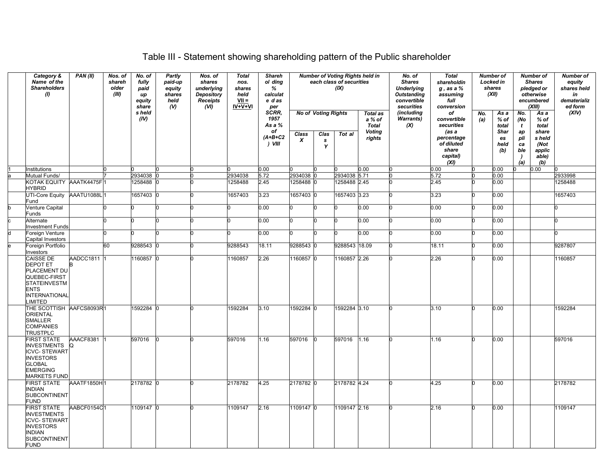# Table III - Statement showing shareholding pattern of the Public shareholder

| Category &<br>Name of the<br><b>Shareholders</b><br>(1)                                                                                        | PAN(II)         | Nos. of<br>shareh<br>older<br>(III) | No. of<br>fully<br>paid<br><b>up</b><br>equity<br>share | Partly<br>paid-up<br>equity<br>shares<br>held<br>$\mathcal{N}$ | Nos. of<br>shares<br>underlying<br><b>Depository</b><br><b>Receipts</b><br>(VI) | <b>Total</b><br>nos.<br>shares<br>held<br>$VII =$<br>IV+V+VI | <b>Shareh</b><br>ol ding<br>%<br>calculat<br>e das<br>per |                        |                                         | <b>Number of Voting Rights held in</b><br>each class of securities<br>(IX) |                                                               | No. of<br><b>Shares</b><br><b>Underlying</b><br><b>Outstanding</b><br>convertible<br>securities | <b>Total</b><br>shareholdin<br>$g$ , as a $%$<br>assuming<br>full<br>conversion | <b>Number of</b><br>Locked in<br>shares<br>(XII) |                                             | <b>Number of</b><br><b>Shares</b><br>pledged or<br>otherwise<br>encumbered<br>(XIII) |                                                  | <b>Number of</b><br>equity<br>shares held<br>in<br>dematerializ<br>ed form |
|------------------------------------------------------------------------------------------------------------------------------------------------|-----------------|-------------------------------------|---------------------------------------------------------|----------------------------------------------------------------|---------------------------------------------------------------------------------|--------------------------------------------------------------|-----------------------------------------------------------|------------------------|-----------------------------------------|----------------------------------------------------------------------------|---------------------------------------------------------------|-------------------------------------------------------------------------------------------------|---------------------------------------------------------------------------------|--------------------------------------------------|---------------------------------------------|--------------------------------------------------------------------------------------|--------------------------------------------------|----------------------------------------------------------------------------|
|                                                                                                                                                |                 |                                     | s held<br>(IV)                                          |                                                                |                                                                                 |                                                              | SCRR.<br>1957<br>As a %<br>of<br>$(A+B+C2$<br>) VIII      | Class<br>x             | <b>No of Voting Rights</b><br>Clas<br>s | Tot al                                                                     | Total as<br>a % of<br><b>Total</b><br><b>Voting</b><br>rights | (including<br><b>Warrants)</b><br>(X)                                                           | of<br>convertible<br>securities<br>(as a<br>percentage<br>of diluted            | No.<br>(a)                                       | As a<br>% of<br>total<br>Shar<br>es<br>held | No.<br>(No<br>$\mathbf{t}$<br>ap<br>pli<br>ca                                        | As a<br>% of<br>total<br>share<br>s held<br>(Not | (XIV)                                                                      |
|                                                                                                                                                |                 |                                     |                                                         |                                                                |                                                                                 |                                                              |                                                           |                        | Y                                       |                                                                            |                                                               |                                                                                                 | share<br>capital)<br>(XI)                                                       |                                                  | (b)                                         | ble<br>$\lambda$<br>(a)                                                              | applic<br>able)<br>(b)                           |                                                                            |
| Institutions                                                                                                                                   |                 |                                     |                                                         |                                                                |                                                                                 |                                                              | 0.00                                                      |                        |                                         |                                                                            | 0.00                                                          |                                                                                                 | 0.00                                                                            |                                                  | 0.00                                        |                                                                                      | 0.00                                             |                                                                            |
| Mutual Funds/                                                                                                                                  |                 |                                     | 2934038                                                 |                                                                |                                                                                 | 2934038                                                      | 5.72                                                      | 2934038                |                                         | 2934038 5.71                                                               |                                                               |                                                                                                 | 5.72                                                                            |                                                  | 0.00                                        |                                                                                      |                                                  | 2933998                                                                    |
| KOTAK EQUITY AAATK4475F1<br><b>HYBRID</b><br>UTI-Core Equity AAATU1088L1                                                                       |                 |                                     | 1258488<br>1657403                                      |                                                                |                                                                                 | 1258488<br>1657403                                           | 2.45<br>3.23                                              | 1258488 0<br>1657403 0 |                                         | 1258488 2.45<br>1657403 3.23                                               |                                                               |                                                                                                 | 2.45<br>3.23                                                                    |                                                  | 0.00<br>0.00                                |                                                                                      |                                                  | 1258488<br>1657403                                                         |
| Fund<br><b>Venture Capital</b>                                                                                                                 |                 |                                     |                                                         |                                                                | n                                                                               | n                                                            | 0.00                                                      | n                      | n                                       |                                                                            | 0.00                                                          |                                                                                                 | 0.00                                                                            |                                                  | 0.00                                        |                                                                                      |                                                  |                                                                            |
| -unds<br>Alternate                                                                                                                             |                 |                                     |                                                         |                                                                |                                                                                 | n                                                            | 0.00                                                      |                        | n                                       |                                                                            | 0.00                                                          |                                                                                                 | 0.00                                                                            |                                                  | 0.00                                        |                                                                                      |                                                  |                                                                            |
| nvestment Funds<br>Foreign Venture                                                                                                             |                 |                                     |                                                         |                                                                |                                                                                 | n                                                            | 0.00                                                      |                        | n                                       |                                                                            | 0.00                                                          |                                                                                                 | 0.00                                                                            |                                                  | 0.00                                        |                                                                                      |                                                  |                                                                            |
| Capital Investors<br>Foreign Portfolio                                                                                                         |                 | 60                                  | 9288543                                                 |                                                                | n                                                                               | 9288543                                                      | 18.11                                                     | 9288543 0              |                                         | 9288543 18.09                                                              |                                                               |                                                                                                 | 18.11                                                                           |                                                  | 0.00                                        |                                                                                      |                                                  | 9287807                                                                    |
| nvestors                                                                                                                                       |                 |                                     |                                                         |                                                                |                                                                                 |                                                              |                                                           |                        |                                         |                                                                            |                                                               |                                                                                                 |                                                                                 |                                                  |                                             |                                                                                      |                                                  |                                                                            |
| CAISSE DE<br><b>DEPOT ET</b><br>PLACEMENT DU<br>QUEBEC-FIRST<br><b>STATEINVESTM</b><br><b>ENTS</b><br><b>INTERNATIONAL</b><br>IMITED.          | AADCC1811 1     |                                     | 1160857 0                                               |                                                                |                                                                                 | 1160857                                                      | 2.26                                                      | 1160857 0              |                                         | 1160857 2.26                                                               |                                                               |                                                                                                 | 2.26                                                                            |                                                  | 0.00                                        |                                                                                      |                                                  | 1160857                                                                    |
| THE SCOTTISH AAFCS8093R1<br><b>ORIENTAL</b><br><b>SMALLER</b><br><b>COMPANIES</b><br><b>TRUSTPLC</b>                                           |                 |                                     | 1592284                                                 |                                                                | U                                                                               | 1592284                                                      | 3.10                                                      | 1592284 0              |                                         | 1592284 3.10                                                               |                                                               |                                                                                                 | 3.10                                                                            |                                                  | 0.00                                        |                                                                                      |                                                  | 1592284                                                                    |
| <b>FIRST STATE</b><br><b>INVESTMENTS</b><br><b>ICVC-STEWART</b><br><b>INVESTORS</b><br><b>GLOBAL</b><br><b>EMERGING</b><br><b>MARKETS FUND</b> | AAACF8381<br>lO |                                     | 597016                                                  |                                                                |                                                                                 | 597016                                                       | 1.16                                                      | 597016                 |                                         | 597016                                                                     | 1.16                                                          |                                                                                                 | 1.16                                                                            |                                                  | 0.00                                        |                                                                                      |                                                  | 597016                                                                     |
| FIRST STATE<br><b>INDIAN</b><br><b>SUBCONTINENT</b><br><b>FUND</b>                                                                             | AAATF1850H1     |                                     | 2178782 0                                               |                                                                | 'n                                                                              | 2178782                                                      | 4.25                                                      | 2178782 0              |                                         | 2178782 4.24                                                               |                                                               |                                                                                                 | 4.25                                                                            |                                                  | 0.00                                        |                                                                                      |                                                  | 2178782                                                                    |
| <b>FIRST STATE</b><br><b>INVESTMENTS</b><br><b>ICVC-STEWART</b><br><b>INVESTORS</b><br><b>INDIAN</b><br><b>SUBCONTINENT</b><br>FUND            | AABCF0154C1     |                                     | 1109147 0                                               |                                                                | 'n                                                                              | 1109147                                                      | 2.16                                                      | 1109147 0              |                                         | 1109147 2.16                                                               |                                                               |                                                                                                 | 2.16                                                                            |                                                  | 0.00                                        |                                                                                      |                                                  | 1109147                                                                    |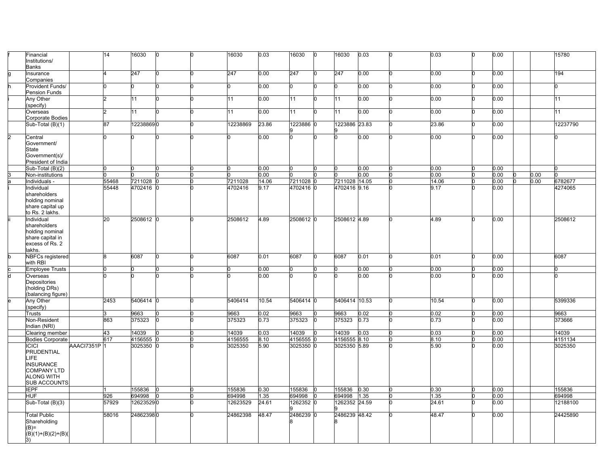|                | Financial<br>Institutions/<br>Banks                                                                               |            | 14    | 16030     |   | n | 16030    | 0.03  | 16030     | 0 | 16030         | 0.03 |    | 0.03      | 0.00      |      | 15780    |
|----------------|-------------------------------------------------------------------------------------------------------------------|------------|-------|-----------|---|---|----------|-------|-----------|---|---------------|------|----|-----------|-----------|------|----------|
|                | Insurance<br>Companies                                                                                            |            |       | 247       |   |   | 247      | 0.00  | 247       |   | 247           | 0.00 |    | 0.00      | 0.00      |      | 194      |
|                | Provident Funds/<br><b>Pension Funds</b>                                                                          |            |       |           |   |   | n        | 0.00  | U         |   |               | 0.00 |    | 0.00      | 0.00      |      |          |
|                | Any Other<br>(specify)                                                                                            |            |       | 11        |   | U | 11       | 0.00  | 11        |   | <b>111</b>    | 0.00 | n  | 0.00      | $0.00\,$  |      | 11       |
|                | Overseas<br>Corporate Bodies                                                                                      |            |       | 11        |   |   | 11       | 0.00  | 11        | n | 11            | 0.00 |    | 0.00      | 0.00      |      | 11       |
|                | Sub-Total (B)(1)                                                                                                  |            | 87    | 122388690 |   |   | 12238869 | 23.86 | 1223886 0 |   | 1223886 23.83 |      |    | 23.86     | 0.00      |      | 12237790 |
| $\overline{2}$ | Central<br>Government/<br>State<br>Government(s)/<br>President of India                                           |            |       |           |   |   |          | 0.00  | U         |   |               | 0.00 |    | 0.00      | 0.00      |      |          |
|                | Sub-Total (B)(2)                                                                                                  |            | n     |           |   |   |          | 0.00  |           |   |               | 0.00 |    | 0.00      | 0.00      |      |          |
|                | Non-institutions                                                                                                  |            |       |           |   |   |          | 0.00  |           |   |               | 0.00 |    | 0.00      | 0.00<br>n | 0.00 |          |
|                | Individuals -                                                                                                     |            | 55468 | 7211028   |   |   | 7211028  | 14.06 | 7211028 0 |   | 7211028 14.05 |      |    | 14.06     | 0.00      | 0.00 | 6782677  |
|                | Individual<br>shareholders<br>holding nominal<br>share capital up<br>to Rs. 2 lakhs.                              |            | 55448 | 4702416 0 |   |   | 4702416  | 9.17  | 4702416 0 |   | 4702416 9.16  |      |    | 9.17      | 0.00      |      | 4274065  |
|                | Individual<br>shareholders<br>holding nominal<br>share capital in<br>excess of Rs. 2<br>lakhs.                    |            | 20    | 2508612 0 |   |   | 2508612  | 4.89  | 2508612 0 |   | 2508612 4.89  |      |    | 4.89<br>n | 0.00      |      | 2508612  |
|                | <b>NBFCs registered</b><br>with RBI                                                                               |            | 8     | 6087      | n | U | 6087     | 0.01  | 6087      | 0 | 6087          | 0.01 | l0 | 0.01<br>n | 0.00      |      | 6087     |
|                | <b>Employee Trusts</b>                                                                                            |            | n     |           |   |   |          | 0.00  |           |   |               | 0.00 | n  | 0.00<br>n | 0.00      |      |          |
|                | Overseas<br>Depositories<br>(holding DRs)<br>(balancing figure)                                                   |            |       |           |   |   |          | 0.00  |           |   |               | 0.00 |    | 0.00      | 0.00      |      |          |
|                | Any Other<br>(specify)                                                                                            |            | 2453  | 5406414 0 |   |   | 5406414  | 10.54 | 5406414 0 |   | 5406414 10.53 |      | n  | 10.54     | 0.00      |      | 5399336  |
|                | Trusts                                                                                                            |            |       | 9663      |   |   | 9663     | 0.02  | 9663      |   | 9663          | 0.02 | n  | 0.02      | 0.00      |      | 9663     |
|                | Non-Resident<br>Indian (NRI)                                                                                      |            | 863   | 375323    |   |   | 375323   | 0.73  | 375323    |   | 375323        | 0.73 |    | 0.73      | 0.00      |      | 373666   |
|                | Clearing member                                                                                                   |            | 43    | 14039     |   |   | 14039    | 0.03  | 14039     |   | 14039         | 0.03 | 'n | 0.03      | 0.00      |      | 14039    |
|                | <b>Bodies Corporate</b>                                                                                           |            | 617   | 4156555   |   |   | 4156555  | 8.10  | 4156555 C |   | 4156555 8.10  |      |    | 8.10      | 0.00      |      | 4151134  |
|                | <b>ICICI</b><br>PRUDENTIAL<br>LIFE<br><b>INSURANCE</b><br><b>COMPANY LTD</b><br><b>ALONG WITH</b><br>SUB ACCOUNTS | AAACI7351P |       | 3025350   |   |   | 3025350  | 5.90  | 3025350 0 |   | 3025350 5.89  |      |    | 5.90      | 0.00      |      | 3025350  |
|                | <b>IEPF</b>                                                                                                       |            |       | 155836    |   |   | 155836   | 0.30  | 155836    |   | 155836        | 0.30 |    | 0.30      | 0.00      |      | 155836   |
|                | <b>HUF</b>                                                                                                        |            | 926   | 694998    |   |   | 694998   | 1.35  | 694998    |   | 694998        | 1.35 |    | 1.35      | 0.00      |      | 694998   |
|                | Sub-Total (B)(3)                                                                                                  |            | 57929 | 126235290 |   |   | 12623529 | 24.61 | 1262352   |   | 1262352 24.59 |      |    | 24.61     | 0.00      |      | 12188100 |
|                | <b>Total Public</b><br>Shareholding<br>$(B)=$                                                                     |            | 58016 | 248623980 |   | n | 24862398 | 48.47 | 2486239 0 |   | 2486239 48.42 |      |    | 48.47     | 0.00      |      | 24425890 |
|                | $(B)(1)+(B)(2)+(B)(B)$<br>3)                                                                                      |            |       |           |   |   |          |       |           |   |               |      |    |           |           |      |          |